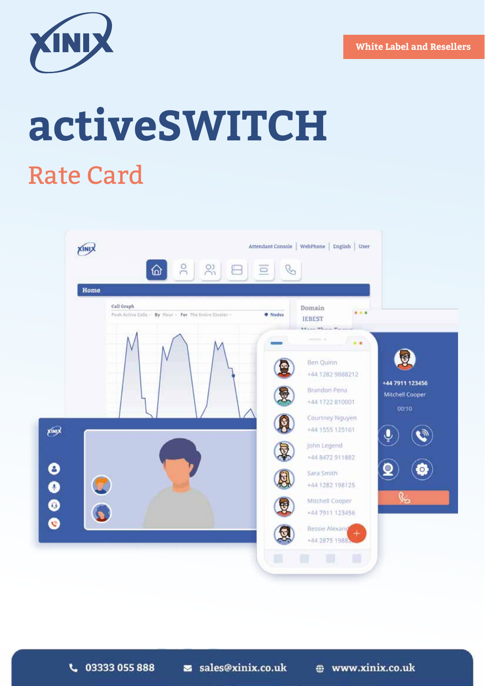

# **activeSWITCH** Rate Card

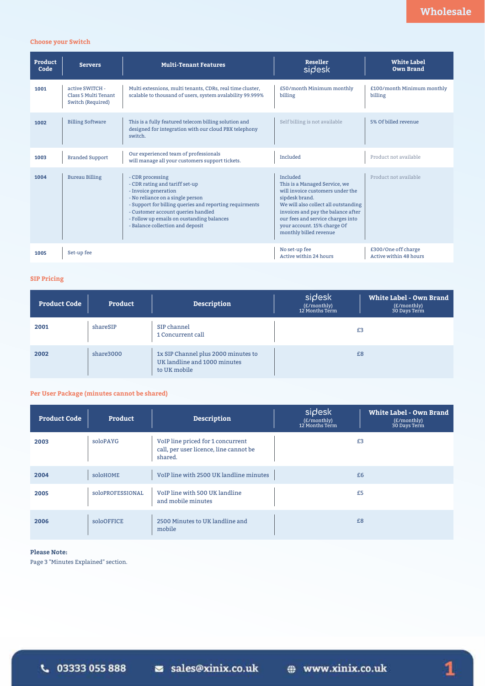### **Choose your Switch**

| Product<br>Code | <b>Servers</b>                                               | <b>Multi-Tenant Features</b>                                                                                                                                                                                                                                                                     | <b>Reseller</b><br>sidesk                                                                                                                                                                                                                                                   | <b>White Label</b><br><b>Own Brand</b>        |
|-----------------|--------------------------------------------------------------|--------------------------------------------------------------------------------------------------------------------------------------------------------------------------------------------------------------------------------------------------------------------------------------------------|-----------------------------------------------------------------------------------------------------------------------------------------------------------------------------------------------------------------------------------------------------------------------------|-----------------------------------------------|
| 1001            | active SWITCH -<br>Class 5 Multi Tenant<br>Switch (Required) | Multi extesnions, multi tenants, CDRs, real time cluster,<br>scalable to thousand of users, system avalability 99.999%                                                                                                                                                                           | £50/month Minimum monthly<br>billing                                                                                                                                                                                                                                        | £100/month Minimum monthly<br>billing         |
| 1002            | <b>Billing Software</b>                                      | This is a fully featured telecom billing solution and<br>designed for integration with our cloud PBX telephony<br>switch.                                                                                                                                                                        | Self billing is not available                                                                                                                                                                                                                                               | 5% Of billed revenue                          |
| 1003            | <b>Branded Support</b>                                       | Our experienced team of professionals<br>will manage all your customers support tickets.                                                                                                                                                                                                         | Included                                                                                                                                                                                                                                                                    | Product not available                         |
| 1004            | <b>Bureau Billing</b>                                        | - CDR processing<br>- CDR rating and tariff set-up<br>- Invoice generation<br>- No reliance on a single person<br>- Support for billing queries and reporting requirments<br>- Customer account queries handled<br>- Follow up emails on oustanding balances<br>- Balance collection and deposit | Included<br>This is a Managed Service, we<br>will invoice customers under the<br>sipdesk brand.<br>We will also collect all outstanding<br>invoices and pay the balance after<br>our fees and service charges into<br>your account. 15% charge Of<br>monthly billed revenue | Product not available                         |
| 1005            | Set-up fee                                                   |                                                                                                                                                                                                                                                                                                  | No set-up fee<br>Active within 24 hours                                                                                                                                                                                                                                     | £300/One off charge<br>Active within 48 hours |

### **SIP Pricing**

| <b>Product Code</b> | Product   | Description                                                                         | sidesk<br>(£/monthly)<br>12 Months Term | <b>White Label - Own Brand</b><br>(£/monthly)<br>30 Days Term |
|---------------------|-----------|-------------------------------------------------------------------------------------|-----------------------------------------|---------------------------------------------------------------|
| 2001                | shareSIP  | SIP channel<br>1 Concurrent call                                                    |                                         | £3                                                            |
| 2002                | share3000 | 1x SIP Channel plus 2000 minutes to<br>UK landline and 1000 minutes<br>to UK mobile |                                         | £8                                                            |

### **Per User Package (minutes cannot be shared)**

| <b>Product Code</b> | Product          | <b>Description</b>                                                                     | sidesk<br>(E/monthly)<br>12 Months Term | White Label - Own Brand<br>(£/monthly)<br>30 Days Term |
|---------------------|------------------|----------------------------------------------------------------------------------------|-----------------------------------------|--------------------------------------------------------|
| 2003                | soloPAYG         | VoIP line priced for 1 concurrent<br>call, per user licence, line cannot be<br>shared. | £3                                      |                                                        |
| 2004                | soloHOME         | VoIP line with 2500 UK landline minutes                                                | £6                                      |                                                        |
| 2005                | SOlOPROFESSIONAL | VoIP line with 500 UK landline<br>and mobile minutes                                   | £5                                      |                                                        |
| 2006                | soloOFFICE       | 2500 Minutes to UK landline and<br>mobile                                              | £8                                      |                                                        |

### **Please Note:**

Page 3 "Minutes Explained" section.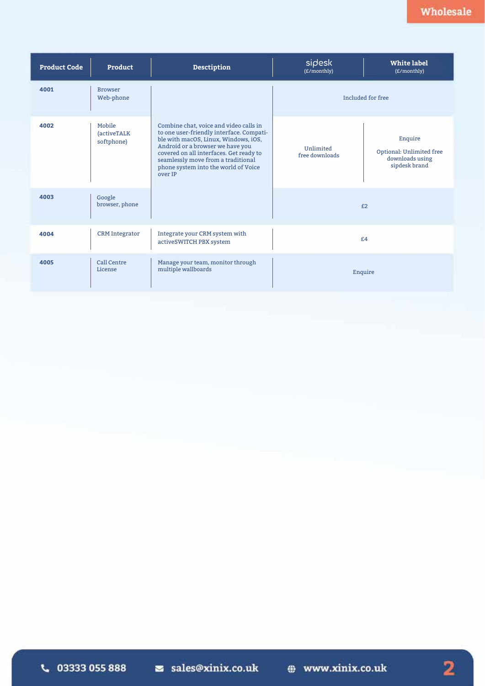| <b>Product Code</b> | Product                                     | <b>Desctiption</b>                                                                                                                                                                                                                                                                                 | sidesk<br>(£/monthly)       | <b>White label</b><br>(£/monthly)                                       |
|---------------------|---------------------------------------------|----------------------------------------------------------------------------------------------------------------------------------------------------------------------------------------------------------------------------------------------------------------------------------------------------|-----------------------------|-------------------------------------------------------------------------|
| 4001                | <b>Browser</b><br>Web-phone                 |                                                                                                                                                                                                                                                                                                    | Included for free           |                                                                         |
| 4002                | Mobile<br><i>(activeTALK)</i><br>softphone) | Combine chat, voice and video calls in<br>to one user-friendly interface. Compati-<br>ble with macOS, Linux, Windows, iOS,<br>Android or a browser we have you<br>covered on all interfaces. Get ready to<br>seamlessly move from a traditional<br>phone system into the world of Voice<br>over IP | Unlimited<br>free downloads | Enquire<br>Optional: Unlimited free<br>downloads using<br>sipdesk brand |
| 4003                | Google<br>browser, phone                    |                                                                                                                                                                                                                                                                                                    |                             | E2                                                                      |
| 4004                | <b>CRM</b> Integrator                       | Integrate your CRM system with<br>activeSWITCH PBX system                                                                                                                                                                                                                                          | £4                          |                                                                         |
| 4005                | Call Centre<br>License                      | Manage your team, monitor through<br>multiple wallboards                                                                                                                                                                                                                                           | Enquire                     |                                                                         |

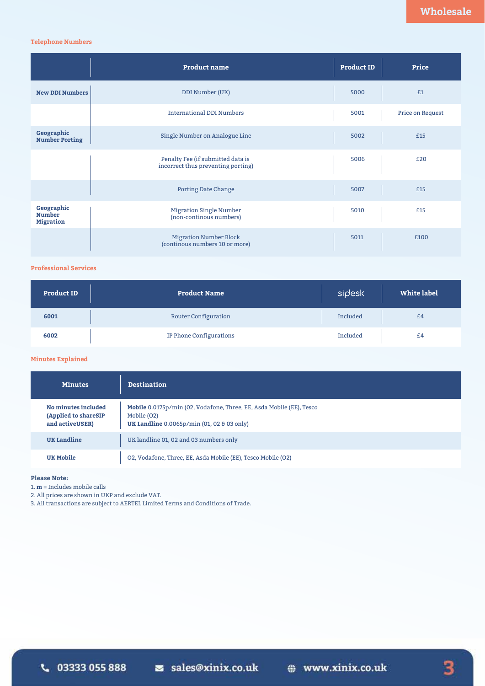### **Telephone Numbers**

|                                                 | <b>Product name</b>                                                     | <b>Product ID</b> | Price            |
|-------------------------------------------------|-------------------------------------------------------------------------|-------------------|------------------|
| <b>New DDI Numbers</b>                          | DDI Number (UK)                                                         | 5000              | £1               |
|                                                 | <b>International DDI Numbers</b>                                        | 5001              | Price on Request |
| Geographic<br><b>Number Porting</b>             | Single Number on Analogue Line                                          | 5002              | £15              |
|                                                 | Penalty Fee (if submitted data is<br>incorrect thus preventing porting) | 5006              | £20              |
|                                                 | <b>Porting Date Change</b>                                              | 5007              | £15              |
| Geographic<br><b>Number</b><br><b>Migration</b> | <b>Migration Single Number</b><br>(non-continous numbers)               | 5010              | £15              |
|                                                 | <b>Migration Number Block</b><br>(continous numbers 10 or more)         | 5011              | £100             |

### **Professional Services**

| <b>Product ID</b> | <b>Product Name</b>     | sidesk   | White label |
|-------------------|-------------------------|----------|-------------|
| 6001              | Router Configuration    | Included | £4          |
| 6002              | IP Phone Configurations | Included | £4          |

### **Minutes Explained**

| <b>Minutes</b>                                                 | <b>Destination</b>                                                                                                                       |
|----------------------------------------------------------------|------------------------------------------------------------------------------------------------------------------------------------------|
| No minutes included<br>(Applied to shareSIP<br>and activeUSER) | Mobile 0.0175p/min (02, Vodafone, Three, EE, Asda Mobile (EE), Tesco<br>Mobile (O2)<br><b>UK Landline</b> 0.0065p/min (01, 02 & 03 only) |
| <b>UK Landline</b>                                             | UK landline 01, 02 and 03 numbers only                                                                                                   |
| <b>UK Mobile</b>                                               | O2, Vodafone, Three, EE, Asda Mobile (EE), Tesco Mobile (O2)                                                                             |

### **Please Note:**

1. **m** = Includes mobile calls

2. All prices are shown in UKP and exclude VAT.

3. All transactions are subject to AERTEL Limited Terms and Conditions of Trade.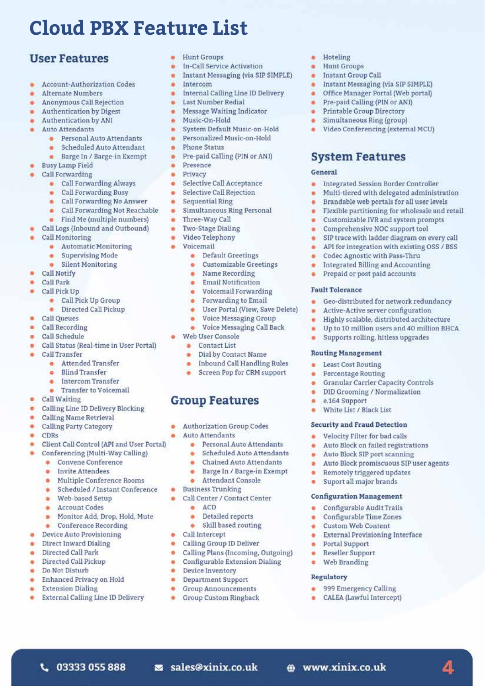## **Cloud PBX Feature List**

### **User Features**

- Account-Authorization Codes
- **Alternate Numbers**
- Anonymous Call Rejection
- Authentication by Digest
- **Authentication by ANI**
- Auto Attendante
	- · Personal Auto Attendants
	- · Scheduled Auto Attendant
	- Barge In / Barge-in Exempt
- **Busy Lamp Field**
- **Call Forwarding** 
	- Call Forwarding Always
	- Call Forwarding Busy
	- Call Forwarding No Answer
	- · Call Forwarding Not Reachable
	- Find Me (multiple numbers)
	- Call Logs (Inbound and Outbound)
- Call Monitoring
	- **•** Automatic Monitoring
	- Supervising Mode
	- · Silent Monitoring
- **Call Notify**
- Call Park
- Call Pick Up
	- · Call Pick Up Group
	- · Directed Call Pickup
- **Call Queues**
- Call Recording
- · Call Schedule
- Call Status (Real-time in User Portal)
- Call Transfer
	- · Attended Transfer
	- e Blind Transfer
	- · Intercom Transfer
	- Transfer to Voicemail
- **Call Waiting**  $\blacksquare$
- Calling Line ID Delivery Blocking ۰
- a. Calling Name Retrieval
- **Calling Party Category** ä
- $\blacksquare$ CDRs
- Client Call Control (API and User Portal)
	- Conferencing (Multi-Way Calling)
		- Convene Conference e.
		- **Invite Attendees**
		- Multiple Conference Rooms
		- Scheduled / Instant Conference
		- Web-based Setup  $\sim$
		- **Account Codes**  $\overline{a}$
		- Monitor Add, Drop, Hold, Mute
	- $\bullet$  Conference Recording
- Device Auto Provisioning
- Direct Inward Dialing a.
- Directed Call Park  $\mathbf{a}$
- Directed Call Pickup
- Do Not Disturb
- Enhanced Privacy on Hold
- **Extension Dialing**
- External Calling Line ID Delivery

L 03333 055 888

- · Hunt Groups
- · In-Call Service Activation
- Instant Messaging (via SIP SIMPLE)

· Hoteling

General

×

 $\blacksquare$ 

٠

 $\bullet$ 

×

 $\bullet$ 

**Fault Tolerance** 

**Routing Management** 

e.164 Support

**Least Cost Routing** 

Percentage Routing

White List / Black List

**Security and Fraud Detection** 

Velocity Filter for bad calls

Auto Block SIP port scanning

· Remotely triggered updates

Suport all major brands

Configurable Audit Trails

Configurable Time Zones

**External Provisioning Interface** 

4

**Configuration Management** 

**Custom Web Content** 

999 Emergency Calling

• CALEA (Lawful Intercept)

**Portal Support** 

Web Branding

Regulatory

@ www.xinix.co.uk

**Reseller Support** 

· Hunt Groups

· Instant Group Call

• Instant Messaging (via SIP SIMPLE)

· Video Conferencing (external MCU)

Integrated Session Border Controller

Multi-tiered with delegated administration

Flexible partitioning for wholesale and retail

SIP trace with ladder diagram on every call

API for integration with existing OSS / BSS

Brandable web portals for all user levels

Customizable IVR and system prompts

Comprehensive NOC support tool

Codec Agnostic with Pass-Thru

Prepaid or post paid accounts

Integrated Billing and Accounting

• Geo-distributed for network redundancy

Highly scalable, distributed architecture

Up to 10 million users and 40 million BHCA

Active-Active server configuration

Supports rolling, hitless upgrades

Granular Carrier Capacity Controls

DID Grooming / Normalization

Auto Block on failed registrations

Auto Block promiscuous SIP user agents

Pre-paid Calling (PIN or ANI)

Printable Group Directory

Simultaneous Ring (group)

**System Features** 

Office Manager Portal (Web portal)

- · Intercom
- **•** Internal Calling Line ID Delivery
- Last Number Redial
- Message Waiting Indicator
- · Music-On-Hold
- · System Default Music-on-Hold
- · Personalized Music-on-Hold
- · Phone Status
- $\bullet$ Pre-paid Calling (PIN or ANI)
- · Presence
- · Privacy
- · Selective Call Acceptance
- $\sim$ Selective Call Rejection
- Sequential Ring a.
- Simultaneous Ring Personal a.
- Three-Way Call
- ò. Two-Stage Dialing
- · Video Telephony
- · Voicemail
	- **•** Default Greetings
	- **Customizable Greetings**  $\bullet$
	- Name Recording o.
	- **Email Notification** ٠
	- Voicemail Forwarding ۰
	- Forwarding to Email  $\bullet$
	- User Portal (View, Save Delete)  $\bullet$
	- Voice Messaging Group  $\bullet$
	- Voice Messaging Call Back
- · Web User Console
	- **a** Contact List
	- · Dial by Contact Name
	- · Inbound Call Handling Rules
	- Screen Pop for CRM support

### **Group Features**

- Authorization Group Codes
- **Auto Attendants**

Business Trunking

 $\bullet$  ACD

 $\bullet$ 

 $\overline{\phantom{a}}$ 

a.

 $\bullet$ 

 $\bullet$ 

 $\bullet$ 

 $\bullet$ 

ò.

 $\overline{\phantom{a}}$ 

 $\bullet$ 

 $\bullet$ 

· Call Intercept

 $\bullet$ Personal Auto Attendants o. **Scheduled Auto Attendants** 

Attendant Console

Call Center / Contact Center

Detailed reports

• Skill based routing

Calling Plans (Incoming, Outgoing)

Configurable Extension Dialing

Calling Group ID Deliver

Device Inventory

s sales@xinix.co.uk

Department Support

**Group Announcements** 

**Group Custom Ringback** 

**Chained Auto Attendants** 

Barge In / Barge-in Exempt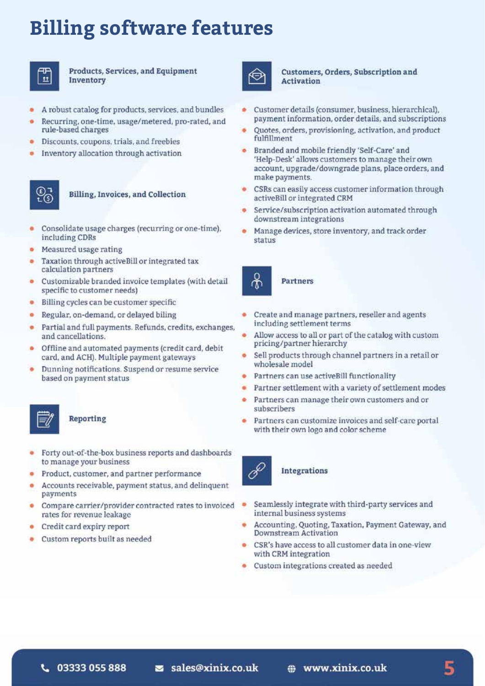### **Billing software features**



Products, Services, and Equipment Inventory



- Recurring, one-time, usage/metered, pro-rated, and rule-based charges
- Discounts, coupons, trials, and freebies
- Inventory allocation through activation



### Billing, Invoices, and Collection

- Consolidate usage charges (recurring or one-time). including CDRs
- Measured usage rating
- Taxation through activeBill or integrated tax calculation partners
- Customizable branded invoice templates (with detail specific to customer needs)
- Billing cycles can be customer specific
- Regular, on-demand, or delayed biling
- Partial and full payments. Refunds, credits, exchanges, and cancellations.
- Offline and automated payments (credit card, debit card, and ACH). Multiple payment gateways
- Dunning notifications. Suspend or resume service based on payment status



### Reporting

- Forty out-of-the-box business reports and dashboards to manage your business
- Product, customer, and partner performance
- Accounts receivable, payment status, and delinquent payments
- Compare carrier/provider contracted rates to invoiced rates for revenue leakage
- Credit card expiry report
- Custom reports built as needed



### Customers, Orders, Subscription and **Activation**

- Customer details (consumer, business, hierarchical), payment information, order details, and subscriptions
- Quotes, orders, provisioning, activation, and product fulfillment
- Branded and mobile friendly 'Self-Care' and 'Help-Desk' allows customers to manage their own account, upgrade/downgrade plans, place orders, and make payments.
- CSRs can easily access customer information through activeBill or integrated CRM
- Service/subscription activation automated through downstream integrations
- Manage devices, store inventory, and track order status



Partners

- Create and manage partners, reseller and agents ä including settlement terms
- Allow access to all or part of the catalog with custom pricing/partner hierarchy
- Sell products through channel partners in a retail or wholesale model
- Partners can use activeBill functionality
- Partner settlement with a variety of settlement modes
- Partners can manage their own customers and or subscribers
- Partners can customize invoices and self-care portal with their own logo and color scheme



### Integrations

- Seamlessly integrate with third-party services and internal business systems
- Accounting, Quoting, Taxation, Payment Gateway, and **Downstream Activation**
- CSR's have access to all customer data in one-view with CRM integration
- Custom integrations created as needed